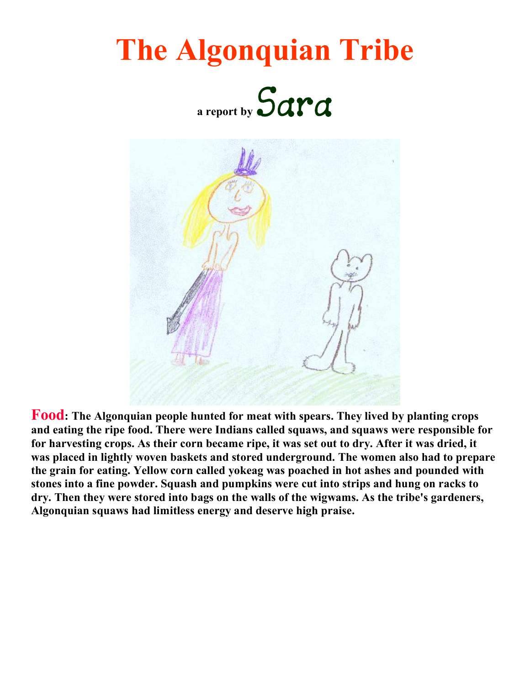## **The Algonquian Tribe** a report by Sara



**Food: The Algonquian people hunted for meat with spears. They lived by planting crops and eating the ripe food. There were Indians called squaws, and squaws were responsible for for harvesting crops. As their corn became ripe, it was set out to dry. After it was dried, it was placed in lightly woven baskets and stored underground. The women also had to prepare the grain for eating. Yellow corn called yokeag was poached in hot ashes and pounded with stones into a fine powder. Squash and pumpkins were cut into strips and hung on racks to dry. Then they were stored into bags on the walls of the wigwams. As the tribe's gardeners, Algonquian squaws had limitless energy and deserve high praise.**